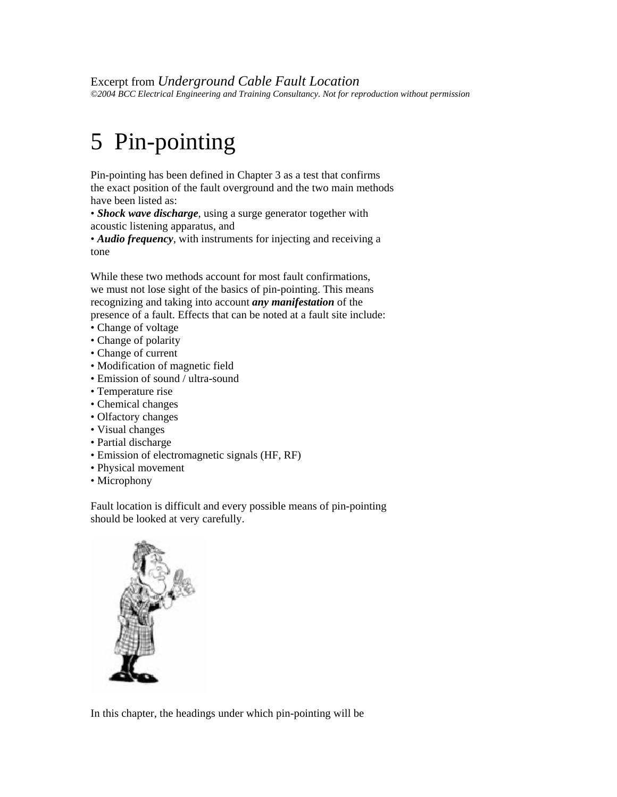Excerpt from *Underground Cable Fault Location ©2004 BCC Electrical Engineering and Training Consultancy. Not for reproduction without permission* 

## 5 Pin-pointing

Pin-pointing has been defined in Chapter 3 as a test that confirms the exact position of the fault overground and the two main methods have been listed as:

• *Shock wave discharge*, using a surge generator together with acoustic listening apparatus, and

• *Audio frequency*, with instruments for injecting and receiving a tone

While these two methods account for most fault confirmations, we must not lose sight of the basics of pin-pointing. This means recognizing and taking into account *any manifestation* of the presence of a fault. Effects that can be noted at a fault site include:

- Change of voltage
- Change of polarity
- Change of current
- Modification of magnetic field
- Emission of sound / ultra-sound
- Temperature rise
- Chemical changes
- Olfactory changes
- Visual changes
- Partial discharge
- Emission of electromagnetic signals (HF, RF)
- Physical movement
- Microphony

Fault location is difficult and every possible means of pin-pointing should be looked at very carefully.



In this chapter, the headings under which pin-pointing will be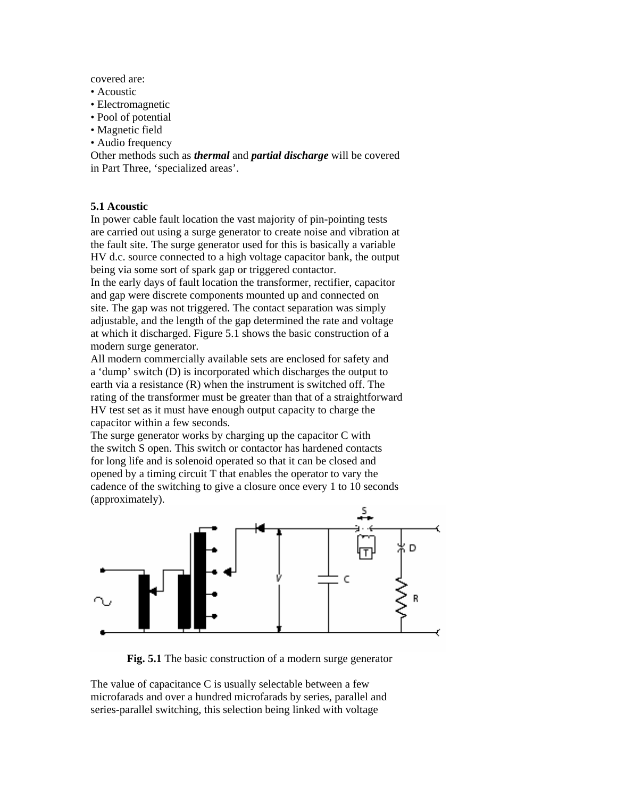covered are:

- Acoustic
- Electromagnetic
- Pool of potential
- Magnetic field
- Audio frequency

Other methods such as *thermal* and *partial discharge* will be covered in Part Three, 'specialized areas'.

## **5.1 Acoustic**

In power cable fault location the vast majority of pin-pointing tests are carried out using a surge generator to create noise and vibration at the fault site. The surge generator used for this is basically a variable HV d.c. source connected to a high voltage capacitor bank, the output being via some sort of spark gap or triggered contactor.

In the early days of fault location the transformer, rectifier, capacitor and gap were discrete components mounted up and connected on site. The gap was not triggered. The contact separation was simply adjustable, and the length of the gap determined the rate and voltage at which it discharged. Figure 5.1 shows the basic construction of a modern surge generator.

All modern commercially available sets are enclosed for safety and a 'dump' switch (D) is incorporated which discharges the output to earth via a resistance (R) when the instrument is switched off. The rating of the transformer must be greater than that of a straightforward HV test set as it must have enough output capacity to charge the capacitor within a few seconds.

The surge generator works by charging up the capacitor C with the switch S open. This switch or contactor has hardened contacts for long life and is solenoid operated so that it can be closed and opened by a timing circuit T that enables the operator to vary the cadence of the switching to give a closure once every 1 to 10 seconds (approximately).



**Fig. 5.1** The basic construction of a modern surge generator

The value of capacitance C is usually selectable between a few microfarads and over a hundred microfarads by series, parallel and series-parallel switching, this selection being linked with voltage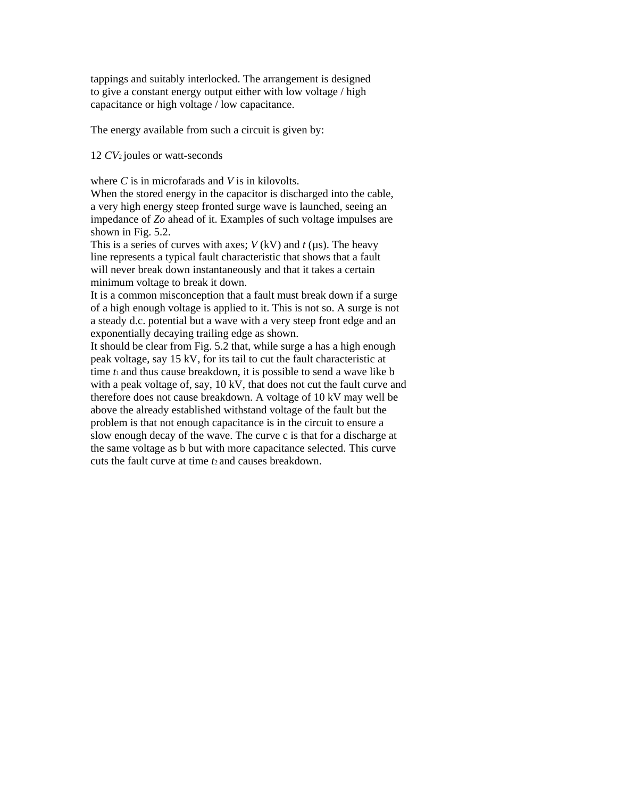tappings and suitably interlocked. The arrangement is designed to give a constant energy output either with low voltage / high capacitance or high voltage / low capacitance.

The energy available from such a circuit is given by:

12 *CV*2 joules or watt-seconds

where *C* is in microfarads and *V* is in kilovolts.

When the stored energy in the capacitor is discharged into the cable, a very high energy steep fronted surge wave is launched, seeing an impedance of *Zo* ahead of it. Examples of such voltage impulses are shown in Fig. 5.2.

This is a series of curves with axes;  $V$  (kV) and  $t$  ( $\mu$ s). The heavy line represents a typical fault characteristic that shows that a fault will never break down instantaneously and that it takes a certain minimum voltage to break it down.

It is a common misconception that a fault must break down if a surge of a high enough voltage is applied to it. This is not so. A surge is not a steady d.c. potential but a wave with a very steep front edge and an exponentially decaying trailing edge as shown.

It should be clear from Fig. 5.2 that, while surge a has a high enough peak voltage, say 15 kV, for its tail to cut the fault characteristic at time *t*1 and thus cause breakdown, it is possible to send a wave like b with a peak voltage of, say, 10 kV, that does not cut the fault curve and therefore does not cause breakdown. A voltage of 10 kV may well be above the already established withstand voltage of the fault but the problem is that not enough capacitance is in the circuit to ensure a slow enough decay of the wave. The curve c is that for a discharge at the same voltage as b but with more capacitance selected. This curve cuts the fault curve at time *t*2 and causes breakdown.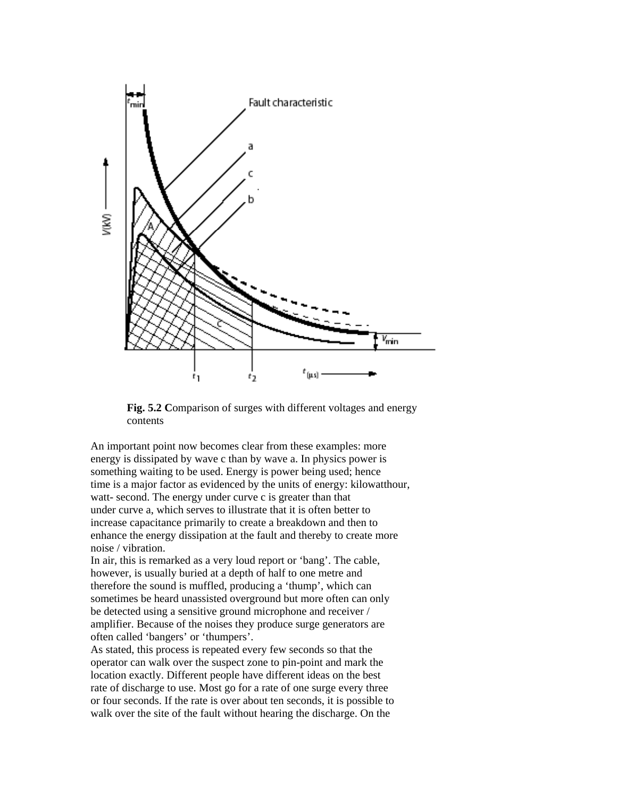

**Fig. 5.2 C**omparison of surges with different voltages and energy contents

An important point now becomes clear from these examples: more energy is dissipated by wave c than by wave a. In physics power is something waiting to be used. Energy is power being used; hence time is a major factor as evidenced by the units of energy: kilowatthour, watt- second. The energy under curve c is greater than that under curve a, which serves to illustrate that it is often better to increase capacitance primarily to create a breakdown and then to enhance the energy dissipation at the fault and thereby to create more noise / vibration.

In air, this is remarked as a very loud report or 'bang'. The cable, however, is usually buried at a depth of half to one metre and therefore the sound is muffled, producing a 'thump', which can sometimes be heard unassisted overground but more often can only be detected using a sensitive ground microphone and receiver / amplifier. Because of the noises they produce surge generators are often called 'bangers' or 'thumpers'.

As stated, this process is repeated every few seconds so that the operator can walk over the suspect zone to pin-point and mark the location exactly. Different people have different ideas on the best rate of discharge to use. Most go for a rate of one surge every three or four seconds. If the rate is over about ten seconds, it is possible to walk over the site of the fault without hearing the discharge. On the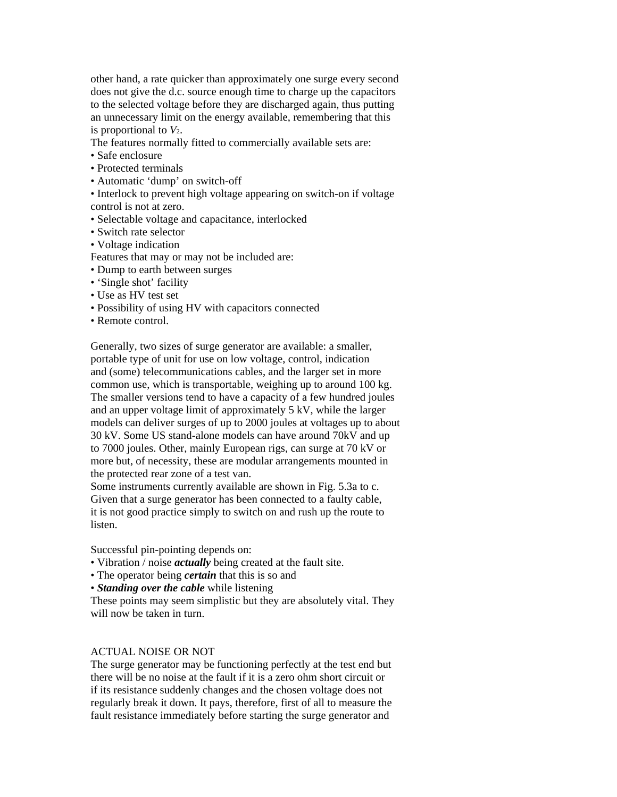other hand, a rate quicker than approximately one surge every second does not give the d.c. source enough time to charge up the capacitors to the selected voltage before they are discharged again, thus putting an unnecessary limit on the energy available, remembering that this is proportional to *V*2.

The features normally fitted to commercially available sets are:

- Safe enclosure
- Protected terminals
- Automatic 'dump' on switch-off

• Interlock to prevent high voltage appearing on switch-on if voltage control is not at zero.

- Selectable voltage and capacitance, interlocked
- Switch rate selector
- Voltage indication

Features that may or may not be included are:

- Dump to earth between surges
- 'Single shot' facility
- Use as HV test set
- Possibility of using HV with capacitors connected
- Remote control.

Generally, two sizes of surge generator are available: a smaller, portable type of unit for use on low voltage, control, indication and (some) telecommunications cables, and the larger set in more common use, which is transportable, weighing up to around 100 kg. The smaller versions tend to have a capacity of a few hundred joules and an upper voltage limit of approximately 5 kV, while the larger models can deliver surges of up to 2000 joules at voltages up to about 30 kV. Some US stand-alone models can have around 70kV and up to 7000 joules. Other, mainly European rigs, can surge at 70 kV or more but, of necessity, these are modular arrangements mounted in the protected rear zone of a test van.

Some instruments currently available are shown in Fig. 5.3a to c. Given that a surge generator has been connected to a faulty cable, it is not good practice simply to switch on and rush up the route to listen.

Successful pin-pointing depends on:

- Vibration / noise *actually* being created at the fault site.
- The operator being *certain* that this is so and
- *Standing over the cable* while listening

These points may seem simplistic but they are absolutely vital. They will now be taken in turn.

## ACTUAL NOISE OR NOT

The surge generator may be functioning perfectly at the test end but there will be no noise at the fault if it is a zero ohm short circuit or if its resistance suddenly changes and the chosen voltage does not regularly break it down. It pays, therefore, first of all to measure the fault resistance immediately before starting the surge generator and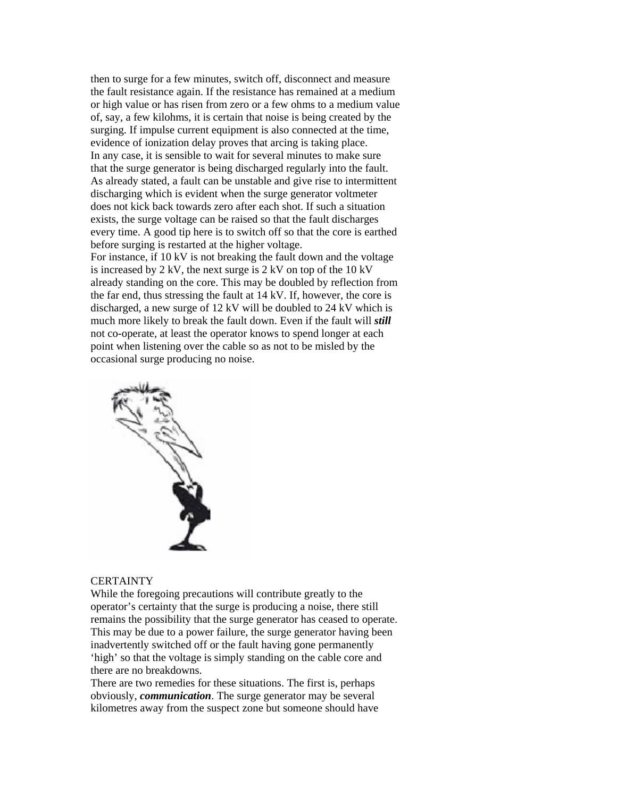then to surge for a few minutes, switch off, disconnect and measure the fault resistance again. If the resistance has remained at a medium or high value or has risen from zero or a few ohms to a medium value of, say, a few kilohms, it is certain that noise is being created by the surging. If impulse current equipment is also connected at the time, evidence of ionization delay proves that arcing is taking place. In any case, it is sensible to wait for several minutes to make sure that the surge generator is being discharged regularly into the fault. As already stated, a fault can be unstable and give rise to intermittent discharging which is evident when the surge generator voltmeter does not kick back towards zero after each shot. If such a situation exists, the surge voltage can be raised so that the fault discharges every time. A good tip here is to switch off so that the core is earthed before surging is restarted at the higher voltage.

For instance, if 10 kV is not breaking the fault down and the voltage is increased by 2 kV, the next surge is 2 kV on top of the 10 kV already standing on the core. This may be doubled by reflection from the far end, thus stressing the fault at 14 kV. If, however, the core is discharged, a new surge of 12 kV will be doubled to 24 kV which is much more likely to break the fault down. Even if the fault will *still*  not co-operate, at least the operator knows to spend longer at each point when listening over the cable so as not to be misled by the occasional surge producing no noise.



## **CERTAINTY**

While the foregoing precautions will contribute greatly to the operator's certainty that the surge is producing a noise, there still remains the possibility that the surge generator has ceased to operate. This may be due to a power failure, the surge generator having been inadvertently switched off or the fault having gone permanently 'high' so that the voltage is simply standing on the cable core and there are no breakdowns.

There are two remedies for these situations. The first is, perhaps obviously, *communication*. The surge generator may be several kilometres away from the suspect zone but someone should have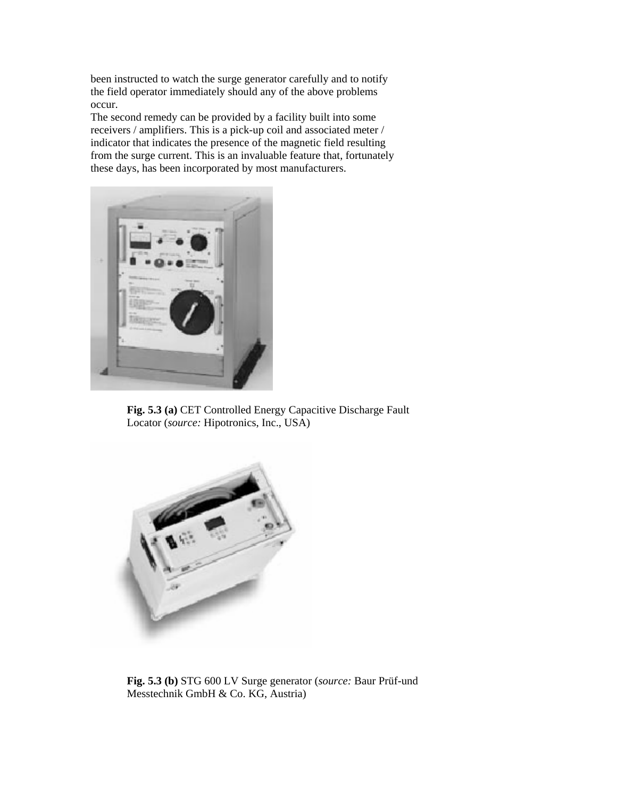been instructed to watch the surge generator carefully and to notify the field operator immediately should any of the above problems occur.

The second remedy can be provided by a facility built into some receivers / amplifiers. This is a pick-up coil and associated meter / indicator that indicates the presence of the magnetic field resulting from the surge current. This is an invaluable feature that, fortunately these days, has been incorporated by most manufacturers.



**Fig. 5.3 (a)** CET Controlled Energy Capacitive Discharge Fault Locator (*source:* Hipotronics, Inc., USA)



**Fig. 5.3 (b)** STG 600 LV Surge generator (*source:* Baur Prüf-und Messtechnik GmbH & Co. KG, Austria)